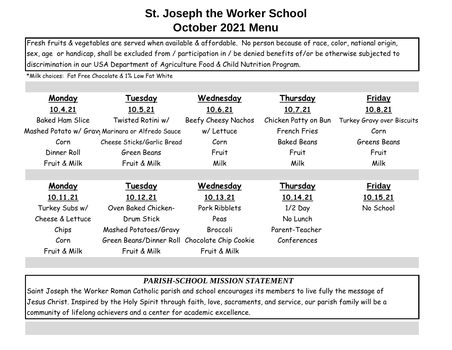Fresh fruits & vegetables are served when available & affordable. No person because of race, color, national origin, sex, age or handicap, shall be excluded from / participation in / be denied benefits of/or be otherwise subjected to discrimination in our USA Department of Agriculture Food & Child Nutrition Program.

\*Milk choices: Fat Free Chocolate & 1% Low Fat White

| Monday                 | Tuesday                                          | Wednesday           | Thursday             | <b>Friday</b>              |
|------------------------|--------------------------------------------------|---------------------|----------------------|----------------------------|
| 10.4.21                | 10.5.21                                          | 10.6.21             | 10.7.21              | 10.8.21                    |
| <b>Baked Ham Slice</b> | Twisted Rotini w/                                | Beefy Cheesy Nachos | Chicken Patty on Bun | Turkey Gravy over Biscuits |
|                        | Mashed Potato w/ Grav, Marinara or Alfredo Sauce | w/ Lettuce          | <b>French Fries</b>  | Corn                       |
| Corn                   | Cheese Sticks/Garlic Bread                       | Corn                | <b>Baked Beans</b>   | Greens Beans               |
| Dinner Roll            | Green Beans                                      | Fruit               | Fruit                | Fruit                      |
| Fruit & Milk           | Fruit & Milk                                     | Milk                | <b>Milk</b>          | <b>Milk</b>                |
|                        |                                                  |                     |                      |                            |
| Monday                 | Tuesday                                          | Wednesday           | Thursday             | <b>Friday</b>              |
| 10.11.21               | 10.12.21                                         | 10.13.21            | 10.14.21             | 10.15.21                   |
| Turkey Subs w/         | Oven Baked Chicken-                              | Pork Ribblets       | $1/2$ Day            | No School                  |
| Cheese & Lettuce       | Drum Stick                                       | Peas                | No Lunch             |                            |
| Chips                  | Mashed Potatoes/Gravy                            | Broccoli            | Parent-Teacher       |                            |
| Corn                   | Green Beans/Dinner Roll Chocolate Chip Cookie    |                     | Conferences          |                            |
| Fruit & Milk           | Fruit & Milk                                     | Fruit & Milk        |                      |                            |

## *PARISH-SCHOOL MISSION STATEMENT*

Saint Joseph the Worker Roman Catholic parish and school encourages its members to live fully the message of Jesus Christ. Inspired by the Holy Spirit through faith, love, sacraments, and service, our parish family will be a community of lifelong achievers and a center for academic excellence.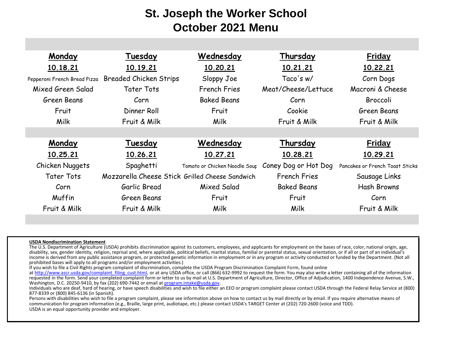| Monday                       | Tuesday                                         | Wednesday                     | Thursday             | <b>Friday</b>                   |
|------------------------------|-------------------------------------------------|-------------------------------|----------------------|---------------------------------|
| 10.18.21                     | 10.19.21                                        | 10.20.21                      | 10.21.21             | 10.22.21                        |
| Pepperoni French Bread Pizza | <b>Breaded Chicken Strips</b>                   | Sloppy Joe                    | Taco's w/            | Corn Dogs                       |
| Mixed Green Salad            | Tater Tots                                      | <b>French Fries</b>           | Meat/Cheese/Lettuce  | Macroni & Cheese                |
| Green Beans                  | Corn                                            | <b>Baked Beans</b>            | Corn                 | Broccoli                        |
| Fruit                        | Dinner Roll                                     | Fruit                         | Cookie               | Green Beans                     |
| <b>Milk</b>                  | Fruit & Milk                                    | Milk                          | Fruit & Milk         | Fruit & Milk                    |
|                              |                                                 |                               |                      |                                 |
| Monday                       | Tuesday                                         | Wednesday                     | Thursday             | <b>Friday</b>                   |
| 10.25.21                     | 10.26.21                                        | 10.27.21                      | 10.28.21             | 10.29.21                        |
| Chicken Nuggets              | Spaghetti                                       | Tomato or Chicken Noodle Soup | Coney Dog or Hot Dog | Pancakes or French Toast Sticks |
| <b>Tater Tots</b>            | Mozzarella Cheese Stick Grilled Cheese Sandwich |                               | <b>French Fries</b>  | Sausage Links                   |
| Corn                         | Garlic Bread                                    | Mixed Salad                   | <b>Baked Beans</b>   | <b>Hash Browns</b>              |
| Muffin                       | Green Beans                                     | Fruit                         | Fruit                | Corn                            |
| Fruit & Milk                 | Fruit & Milk                                    | Milk                          | Milk                 | Fruit & Milk                    |
|                              |                                                 |                               |                      |                                 |

## **USDA Nondiscrimination Statement**

The U.S. Department of Agriculture (USDA) prohibits discrimination against its customers, employees, and applicants for employment on the bases of race, color, national origin, age, disability, sex, gender identity, religion, reprisal and, where applicable, political beliefs, marital status, familial or parental status, sexual orientation, or if all or part of an individual's income is derived from any public assistance program, or protected genetic information in employment or in any program or activity conducted or funded by the Department. (Not all prohibited bases will apply to all programs and/or employment activities.)

If you wish to file a Civil Rights program complaint of discrimination, complete the USDA Program Discrimination Complaint Form, found online

at http://www.ascr.usda.gov/complaint\_filing\_cust.html, or at any USDA office, or call (866) 632-9992 to request the form. You may also write a letter containing all of the information requested in the form. Send your completed complaint form or letter to us by mail at U.S. Department of Agriculture, Director, Office of Adjudication, 1400 Independence Avenue, S.W., Washington, D.C. 20250-9410, by fax (202) 690-7442 or email at program.intake@usda.gov.

Individuals who are deaf, hard of hearing, or have speech disabilities and wish to file either an EEO or program complaint please contact USDA through the Federal Relay Service at (800) 877-8339 or (800) 845-6136 (in Spanish).

Persons with disabilities who wish to file a program complaint, please see information above on how to contact us by mail directly or by email. If you require alternative means of communication for program information (e.g., Braille, large print, audiotape, etc.) please contact USDA's TARGET Center at (202) 720-2600 (voice and TDD). USDA is an equal opportunity provider and employer.